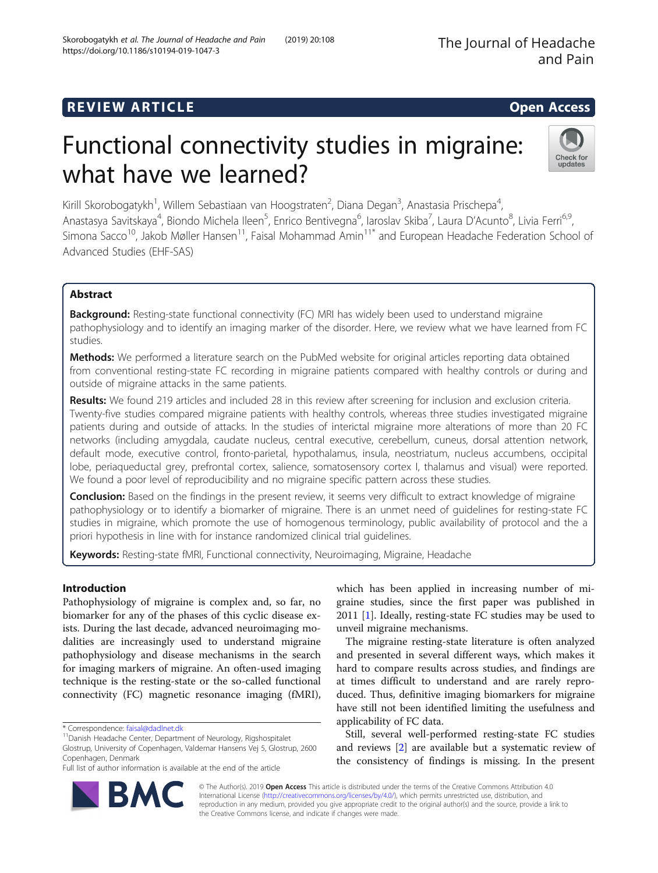## **REVIEW ARTICLE EXECUTE: Open Access**

# Functional connectivity studies in migraine: what have we learned?

Kirill Skorobogatykh<sup>1</sup>, Willem Sebastiaan van Hoogstraten<sup>2</sup>, Diana Degan<sup>3</sup>, Anastasia Prischepa<sup>4</sup> , Anastasya Savitskaya<sup>4</sup>, Biondo Michela Ileen<sup>5</sup>, Enrico Bentivegna<sup>6</sup>, Iaroslav Skiba<sup>7</sup>, Laura D'Acunto<sup>8</sup>, Livia Ferri<sup>6,9</sup>, Simona Sacco<sup>10</sup>, Jakob Møller Hansen<sup>11</sup>, Faisal Mohammad Amin<sup>11\*</sup> and European Headache Federation School of Advanced Studies (EHF-SAS)

## Abstract

Background: Resting-state functional connectivity (FC) MRI has widely been used to understand migraine pathophysiology and to identify an imaging marker of the disorder. Here, we review what we have learned from FC studies.

Methods: We performed a literature search on the PubMed website for original articles reporting data obtained from conventional resting-state FC recording in migraine patients compared with healthy controls or during and outside of migraine attacks in the same patients.

Results: We found 219 articles and included 28 in this review after screening for inclusion and exclusion criteria. Twenty-five studies compared migraine patients with healthy controls, whereas three studies investigated migraine patients during and outside of attacks. In the studies of interictal migraine more alterations of more than 20 FC networks (including amygdala, caudate nucleus, central executive, cerebellum, cuneus, dorsal attention network, default mode, executive control, fronto-parietal, hypothalamus, insula, neostriatum, nucleus accumbens, occipital lobe, periaqueductal grey, prefrontal cortex, salience, somatosensory cortex I, thalamus and visual) were reported. We found a poor level of reproducibility and no migraine specific pattern across these studies.

Conclusion: Based on the findings in the present review, it seems very difficult to extract knowledge of migraine pathophysiology or to identify a biomarker of migraine. There is an unmet need of guidelines for resting-state FC studies in migraine, which promote the use of homogenous terminology, public availability of protocol and the a priori hypothesis in line with for instance randomized clinical trial guidelines.

Keywords: Resting-state fMRI, Functional connectivity, Neuroimaging, Migraine, Headache

## Introduction

Pathophysiology of migraine is complex and, so far, no biomarker for any of the phases of this cyclic disease exists. During the last decade, advanced neuroimaging modalities are increasingly used to understand migraine pathophysiology and disease mechanisms in the search for imaging markers of migraine. An often-used imaging technique is the resting-state or the so-called functional connectivity (FC) magnetic resonance imaging (fMRI),

which has been applied in increasing number of migraine studies, since the first paper was published in 2011 [[1\]](#page-8-0). Ideally, resting-state FC studies may be used to unveil migraine mechanisms.

The migraine resting-state literature is often analyzed and presented in several different ways, which makes it hard to compare results across studies, and findings are at times difficult to understand and are rarely reproduced. Thus, definitive imaging biomarkers for migraine have still not been identified limiting the usefulness and applicability of FC data.

Still, several well-performed resting-state FC studies and reviews [[2\]](#page-8-0) are available but a systematic review of the consistency of findings is missing. In the present

© The Author(s). 2019 **Open Access** This article is distributed under the terms of the Creative Commons Attribution 4.0 International License [\(http://creativecommons.org/licenses/by/4.0/](http://creativecommons.org/licenses/by/4.0/)), which permits unrestricted use, distribution, and reproduction in any medium, provided you give appropriate credit to the original author(s) and the source, provide a link to the Creative Commons license, and indicate if changes were made.





<sup>\*</sup> Correspondence: [faisal@dadlnet.dk](mailto:faisal@dadlnet.dk) 11Danish Headache Center, Department of Neurology, Rigshospitalet Glostrup, University of Copenhagen, Valdemar Hansens Vej 5, Glostrup, 2600 Copenhagen, Denmark

Full list of author information is available at the end of the article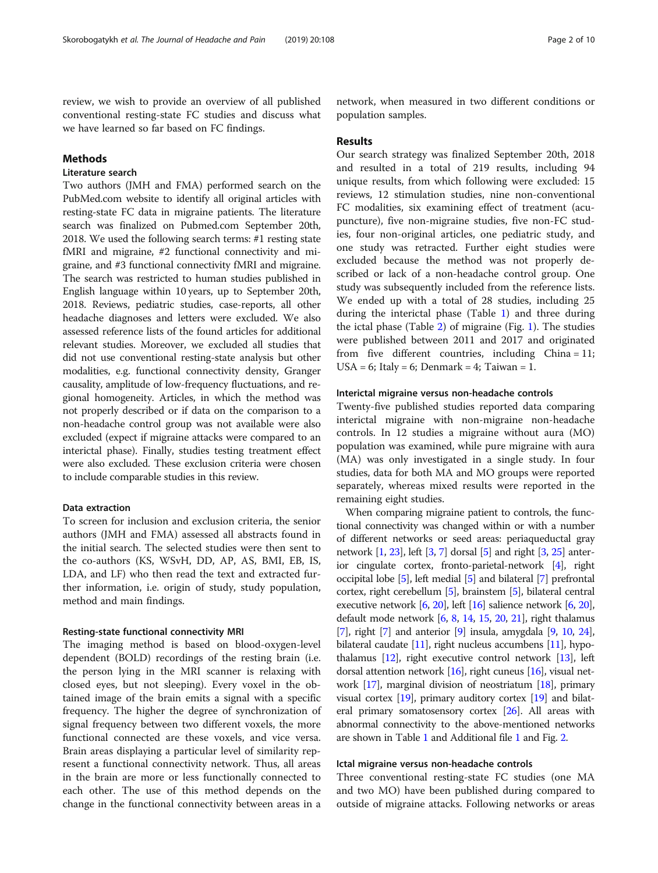review, we wish to provide an overview of all published conventional resting-state FC studies and discuss what we have learned so far based on FC findings.

#### Methods

## Literature search

Two authors (JMH and FMA) performed search on the PubMed.com website to identify all original articles with resting-state FC data in migraine patients. The literature search was finalized on Pubmed.com September 20th, 2018. We used the following search terms: #1 resting state fMRI and migraine, #2 functional connectivity and migraine, and #3 functional connectivity fMRI and migraine. The search was restricted to human studies published in English language within 10 years, up to September 20th, 2018. Reviews, pediatric studies, case-reports, all other headache diagnoses and letters were excluded. We also assessed reference lists of the found articles for additional relevant studies. Moreover, we excluded all studies that did not use conventional resting-state analysis but other modalities, e.g. functional connectivity density, Granger causality, amplitude of low-frequency fluctuations, and regional homogeneity. Articles, in which the method was not properly described or if data on the comparison to a non-headache control group was not available were also excluded (expect if migraine attacks were compared to an interictal phase). Finally, studies testing treatment effect were also excluded. These exclusion criteria were chosen to include comparable studies in this review.

#### Data extraction

To screen for inclusion and exclusion criteria, the senior authors (JMH and FMA) assessed all abstracts found in the initial search. The selected studies were then sent to the co-authors (KS, WSvH, DD, AP, AS, BMI, EB, IS, LDA, and LF) who then read the text and extracted further information, i.e. origin of study, study population, method and main findings.

#### Resting-state functional connectivity MRI

The imaging method is based on blood-oxygen-level dependent (BOLD) recordings of the resting brain (i.e. the person lying in the MRI scanner is relaxing with closed eyes, but not sleeping). Every voxel in the obtained image of the brain emits a signal with a specific frequency. The higher the degree of synchronization of signal frequency between two different voxels, the more functional connected are these voxels, and vice versa. Brain areas displaying a particular level of similarity represent a functional connectivity network. Thus, all areas in the brain are more or less functionally connected to each other. The use of this method depends on the change in the functional connectivity between areas in a

network, when measured in two different conditions or population samples.

#### Results

Our search strategy was finalized September 20th, 2018 and resulted in a total of 219 results, including 94 unique results, from which following were excluded: 15 reviews, 12 stimulation studies, nine non-conventional FC modalities, six examining effect of treatment (acupuncture), five non-migraine studies, five non-FC studies, four non-original articles, one pediatric study, and one study was retracted. Further eight studies were excluded because the method was not properly described or lack of a non-headache control group. One study was subsequently included from the reference lists. We ended up with a total of 28 studies, including 25 during the interictal phase (Table [1](#page-2-0)) and three during the ictal phase (Table [2\)](#page-5-0) of migraine (Fig. [1\)](#page-6-0). The studies were published between 2011 and 2017 and originated from five different countries, including China = 11; USA = 6; Italy = 6; Denmark = 4; Taiwan = 1.

#### Interictal migraine versus non-headache controls

Twenty-five published studies reported data comparing interictal migraine with non-migraine non-headache controls. In 12 studies a migraine without aura (MO) population was examined, while pure migraine with aura (MA) was only investigated in a single study. In four studies, data for both MA and MO groups were reported separately, whereas mixed results were reported in the remaining eight studies.

When comparing migraine patient to controls, the functional connectivity was changed within or with a number of different networks or seed areas: periaqueductal gray network [\[1,](#page-8-0) [23\]](#page-8-0), left [\[3,](#page-8-0) [7](#page-8-0)] dorsal [[5](#page-8-0)] and right [\[3,](#page-8-0) [25\]](#page-9-0) anterior cingulate cortex, fronto-parietal-network [[4\]](#page-8-0), right occipital lobe [\[5\]](#page-8-0), left medial [\[5](#page-8-0)] and bilateral [[7\]](#page-8-0) prefrontal cortex, right cerebellum [[5\]](#page-8-0), brainstem [\[5\]](#page-8-0), bilateral central executive network [\[6](#page-8-0), [20](#page-8-0)], left [\[16\]](#page-8-0) salience network [\[6](#page-8-0), [20](#page-8-0)], default mode network [\[6,](#page-8-0) [8,](#page-8-0) [14](#page-8-0), [15](#page-8-0), [20,](#page-8-0) [21](#page-8-0)], right thalamus [[7](#page-8-0)], right [[7](#page-8-0)] and anterior [\[9](#page-8-0)] insula, amygdala [\[9](#page-8-0), [10](#page-8-0), [24](#page-8-0)], bilateral caudate [\[11\]](#page-8-0), right nucleus accumbens [\[11\]](#page-8-0), hypothalamus  $[12]$  $[12]$  $[12]$ , right executive control network  $[13]$  $[13]$  $[13]$ , left dorsal attention network  $[16]$  $[16]$  $[16]$ , right cuneus  $[16]$ , visual network [[17](#page-8-0)], marginal division of neostriatum [\[18](#page-8-0)], primary visual cortex  $[19]$ , primary auditory cortex  $[19]$  and bilateral primary somatosensory cortex [\[26\]](#page-9-0). All areas with abnormal connectivity to the above-mentioned networks are shown in Table [1](#page-2-0) and Additional file [1](#page-7-0) and Fig. [2](#page-7-0).

#### Ictal migraine versus non-headache controls

Three conventional resting-state FC studies (one MA and two MO) have been published during compared to outside of migraine attacks. Following networks or areas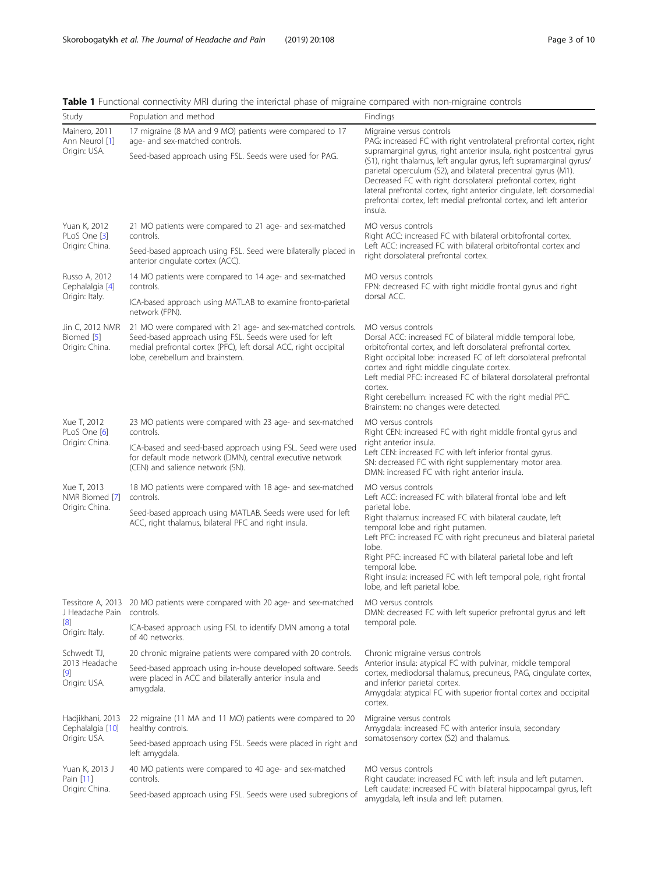| Study                                                | Population and method                                                                                                                                                                                                                  | <b>Findings</b>                                                                                                                                                                                                                                                                                                                                                                                                                                                                                                                            |
|------------------------------------------------------|----------------------------------------------------------------------------------------------------------------------------------------------------------------------------------------------------------------------------------------|--------------------------------------------------------------------------------------------------------------------------------------------------------------------------------------------------------------------------------------------------------------------------------------------------------------------------------------------------------------------------------------------------------------------------------------------------------------------------------------------------------------------------------------------|
| Mainero, 2011<br>Ann Neurol [1]<br>Origin: USA.      | 17 migraine (8 MA and 9 MO) patients were compared to 17<br>age- and sex-matched controls.<br>Seed-based approach using FSL. Seeds were used for PAG.                                                                                  | Migraine versus controls<br>PAG: increased FC with right ventrolateral prefrontal cortex, right<br>supramarginal gyrus, right anterior insula, right postcentral gyrus<br>(S1), right thalamus, left angular gyrus, left supramarginal gyrus/<br>parietal operculum (S2), and bilateral precentral gyrus (M1).<br>Decreased FC with right dorsolateral prefrontal cortex, right<br>lateral prefrontal cortex, right anterior cingulate, left dorsomedial<br>prefrontal cortex, left medial prefrontal cortex, and left anterior<br>insula. |
| Yuan K, 2012<br>PLoS One [3]<br>Origin: China.       | 21 MO patients were compared to 21 age- and sex-matched<br>controls.<br>Seed-based approach using FSL. Seed were bilaterally placed in<br>anterior cingulate cortex (ACC).                                                             | MO versus controls<br>Right ACC: increased FC with bilateral orbitofrontal cortex.<br>Left ACC: increased FC with bilateral orbitofrontal cortex and<br>right dorsolateral prefrontal cortex.                                                                                                                                                                                                                                                                                                                                              |
| Russo A, 2012<br>Cephalalgia [4]<br>Origin: Italy.   | 14 MO patients were compared to 14 age- and sex-matched<br>controls.                                                                                                                                                                   | MO versus controls<br>FPN: decreased FC with right middle frontal gyrus and right<br>dorsal ACC.                                                                                                                                                                                                                                                                                                                                                                                                                                           |
|                                                      | ICA-based approach using MATLAB to examine fronto-parietal<br>network (FPN).                                                                                                                                                           |                                                                                                                                                                                                                                                                                                                                                                                                                                                                                                                                            |
| Jin C, 2012 NMR<br>Biomed [5]<br>Origin: China.      | 21 MO were compared with 21 age- and sex-matched controls.<br>Seed-based approach using FSL. Seeds were used for left<br>medial prefrontal cortex (PFC), left dorsal ACC, right occipital<br>lobe, cerebellum and brainstem.           | MO versus controls<br>Dorsal ACC: increased FC of bilateral middle temporal lobe,<br>orbitofrontal cortex, and left dorsolateral prefrontal cortex.<br>Right occipital lobe: increased FC of left dorsolateral prefrontal<br>cortex and right middle cingulate cortex.<br>Left medial PFC: increased FC of bilateral dorsolateral prefrontal<br>cortex.<br>Right cerebellum: increased FC with the right medial PFC.<br>Brainstem: no changes were detected.                                                                               |
| Xue T, 2012<br>PLoS One [6]<br>Origin: China.        | 23 MO patients were compared with 23 age- and sex-matched<br>controls.<br>ICA-based and seed-based approach using FSL. Seed were used<br>for default mode network (DMN), central executive network<br>(CEN) and salience network (SN). | MO versus controls<br>Right CEN: increased FC with right middle frontal gyrus and<br>right anterior insula.<br>Left CEN: increased FC with left inferior frontal gyrus.<br>SN: decreased FC with right supplementary motor area.                                                                                                                                                                                                                                                                                                           |
| Xue T, 2013                                          | 18 MO patients were compared with 18 age- and sex-matched                                                                                                                                                                              | DMN: increased FC with right anterior insula.<br>MO versus controls                                                                                                                                                                                                                                                                                                                                                                                                                                                                        |
| NMR Biomed [7]                                       | controls.                                                                                                                                                                                                                              | Left ACC: increased FC with bilateral frontal lobe and left                                                                                                                                                                                                                                                                                                                                                                                                                                                                                |
| Origin: China.                                       | Seed-based approach using MATLAB. Seeds were used for left<br>ACC, right thalamus, bilateral PFC and right insula.                                                                                                                     | parietal lobe.<br>Right thalamus: increased FC with bilateral caudate, left<br>temporal lobe and right putamen.<br>Left PFC: increased FC with right precuneus and bilateral parietal<br>lobe.<br>Right PFC: increased FC with bilateral parietal lobe and left<br>temporal lobe.<br>Right insula: increased FC with left temporal pole, right frontal<br>lobe, and left parietal lobe.                                                                                                                                                    |
| J Headache Pain controls.                            | Tessitore A, 2013 20 MO patients were compared with 20 age- and sex-matched                                                                                                                                                            | MO versus controls<br>DMN: decreased FC with left superior prefrontal gyrus and left                                                                                                                                                                                                                                                                                                                                                                                                                                                       |
| $\lceil 8 \rceil$<br>Origin: Italy.                  | ICA-based approach using FSL to identify DMN among a total<br>of 40 networks.                                                                                                                                                          | temporal pole.                                                                                                                                                                                                                                                                                                                                                                                                                                                                                                                             |
| Schwedt TJ,                                          | 20 chronic migraine patients were compared with 20 controls.                                                                                                                                                                           | Chronic migraine versus controls<br>Anterior insula: atypical FC with pulvinar, middle temporal<br>cortex, mediodorsal thalamus, precuneus, PAG, cinqulate cortex,<br>and inferior parietal cortex.<br>Amygdala: atypical FC with superior frontal cortex and occipital<br>cortex.                                                                                                                                                                                                                                                         |
| 2013 Headache<br>[9]<br>Origin: USA.                 | Seed-based approach using in-house developed software. Seeds<br>were placed in ACC and bilaterally anterior insula and<br>amygdala.                                                                                                    |                                                                                                                                                                                                                                                                                                                                                                                                                                                                                                                                            |
| Hadjikhani, 2013<br>Cephalalgia [10]<br>Origin: USA. | 22 migraine (11 MA and 11 MO) patients were compared to 20<br>healthy controls.                                                                                                                                                        | Migraine versus controls<br>Amygdala: increased FC with anterior insula, secondary<br>somatosensory cortex (S2) and thalamus.                                                                                                                                                                                                                                                                                                                                                                                                              |
|                                                      | Seed-based approach using FSL. Seeds were placed in right and<br>left amygdala.                                                                                                                                                        |                                                                                                                                                                                                                                                                                                                                                                                                                                                                                                                                            |
| Yuan K, 2013 J<br>Pain [11]<br>Origin: China.        | 40 MO patients were compared to 40 age- and sex-matched<br>controls.                                                                                                                                                                   | MO versus controls<br>Right caudate: increased FC with left insula and left putamen.<br>Left caudate: increased FC with bilateral hippocampal gyrus, left<br>amygdala, left insula and left putamen.                                                                                                                                                                                                                                                                                                                                       |
|                                                      | Seed-based approach using FSL. Seeds were used subregions of                                                                                                                                                                           |                                                                                                                                                                                                                                                                                                                                                                                                                                                                                                                                            |

<span id="page-2-0"></span>Table 1 Functional connectivity MRI during the interictal phase of migraine compared with non-migraine controls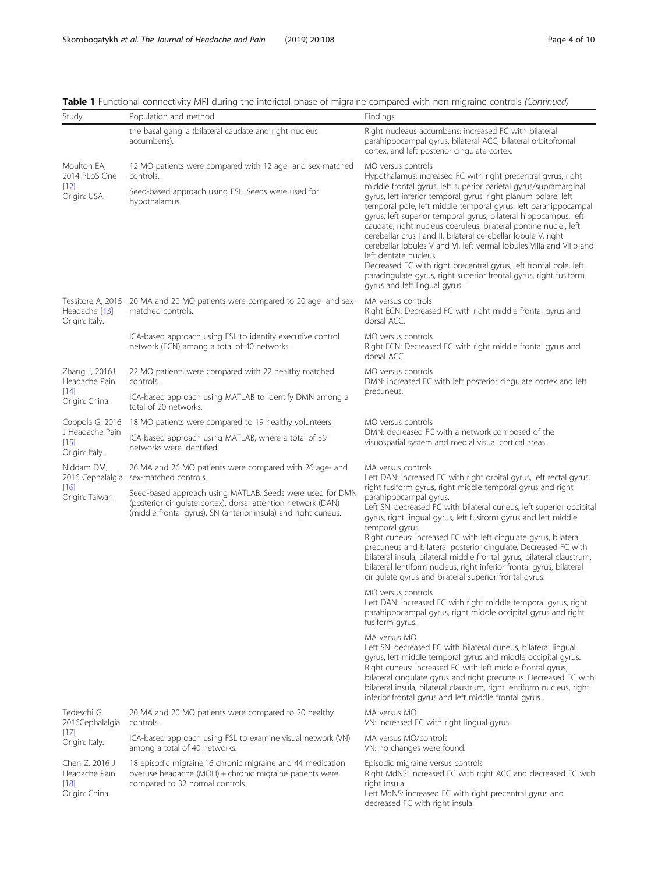| Study                                                       | Population and method                                                                                                                                                                                                                                                           | Findings                                                                                                                                                                                                                                                                                                                                                                                                                                                                                                                                                                                                                                                                                                                                                                                                                                                                                                                                                                                                                                                                                                                                                          |
|-------------------------------------------------------------|---------------------------------------------------------------------------------------------------------------------------------------------------------------------------------------------------------------------------------------------------------------------------------|-------------------------------------------------------------------------------------------------------------------------------------------------------------------------------------------------------------------------------------------------------------------------------------------------------------------------------------------------------------------------------------------------------------------------------------------------------------------------------------------------------------------------------------------------------------------------------------------------------------------------------------------------------------------------------------------------------------------------------------------------------------------------------------------------------------------------------------------------------------------------------------------------------------------------------------------------------------------------------------------------------------------------------------------------------------------------------------------------------------------------------------------------------------------|
|                                                             | the basal ganglia (bilateral caudate and right nucleus<br>accumbens).                                                                                                                                                                                                           | Right nucleaus accumbens: increased FC with bilateral<br>parahippocampal gyrus, bilateral ACC, bilateral orbitofrontal<br>cortex, and left posterior cingulate cortex.                                                                                                                                                                                                                                                                                                                                                                                                                                                                                                                                                                                                                                                                                                                                                                                                                                                                                                                                                                                            |
| Moulton EA,<br>2014 PLoS One                                | 12 MO patients were compared with 12 age- and sex-matched<br>controls.                                                                                                                                                                                                          | MO versus controls<br>Hypothalamus: increased FC with right precentral gyrus, right                                                                                                                                                                                                                                                                                                                                                                                                                                                                                                                                                                                                                                                                                                                                                                                                                                                                                                                                                                                                                                                                               |
| $[12]$<br>Origin: USA.                                      | Seed-based approach using FSL. Seeds were used for<br>hypothalamus.                                                                                                                                                                                                             | middle frontal gyrus, left superior parietal gyrus/supramarginal<br>gyrus, left inferior temporal gyrus, right planum polare, left<br>temporal pole, left middle temporal gyrus, left parahippocampal<br>gyrus, left superior temporal gyrus, bilateral hippocampus, left<br>caudate, right nucleus coeruleus, bilateral pontine nuclei, left<br>cerebellar crus I and II, bilateral cerebellar lobule V, right<br>cerebellar lobules V and VI, left vermal lobules VIIIa and VIIIb and<br>left dentate nucleus.<br>Decreased FC with right precentral gyrus, left frontal pole, left<br>paracingulate gyrus, right superior frontal gyrus, right fusiform<br>gyrus and left lingual gyrus.                                                                                                                                                                                                                                                                                                                                                                                                                                                                       |
| Headache [13]<br>Origin: Italy.                             | Tessitore A, 2015 20 MA and 20 MO patients were compared to 20 age- and sex-<br>matched controls.                                                                                                                                                                               | MA versus controls<br>Right ECN: Decreased FC with right middle frontal gyrus and<br>dorsal ACC.                                                                                                                                                                                                                                                                                                                                                                                                                                                                                                                                                                                                                                                                                                                                                                                                                                                                                                                                                                                                                                                                  |
|                                                             | ICA-based approach using FSL to identify executive control<br>network (ECN) among a total of 40 networks.                                                                                                                                                                       | MO versus controls<br>Right ECN: Decreased FC with right middle frontal gyrus and<br>dorsal ACC.                                                                                                                                                                                                                                                                                                                                                                                                                                                                                                                                                                                                                                                                                                                                                                                                                                                                                                                                                                                                                                                                  |
| Zhang J, 2016J<br>Headache Pain                             | 22 MO patients were compared with 22 healthy matched<br>controls.                                                                                                                                                                                                               | MO versus controls<br>DMN: increased FC with left posterior cingulate cortex and left                                                                                                                                                                                                                                                                                                                                                                                                                                                                                                                                                                                                                                                                                                                                                                                                                                                                                                                                                                                                                                                                             |
| [14]<br>Origin: China.                                      | ICA-based approach using MATLAB to identify DMN among a<br>total of 20 networks.                                                                                                                                                                                                | precuneus.                                                                                                                                                                                                                                                                                                                                                                                                                                                                                                                                                                                                                                                                                                                                                                                                                                                                                                                                                                                                                                                                                                                                                        |
| Coppola G, 2016                                             | 18 MO patients were compared to 19 healthy volunteers.                                                                                                                                                                                                                          | MO versus controls                                                                                                                                                                                                                                                                                                                                                                                                                                                                                                                                                                                                                                                                                                                                                                                                                                                                                                                                                                                                                                                                                                                                                |
| J Headache Pain<br>$[15]$<br>Origin: Italy.                 | ICA-based approach using MATLAB, where a total of 39<br>networks were identified.                                                                                                                                                                                               | DMN: decreased FC with a network composed of the<br>visuospatial system and medial visual cortical areas.                                                                                                                                                                                                                                                                                                                                                                                                                                                                                                                                                                                                                                                                                                                                                                                                                                                                                                                                                                                                                                                         |
| Niddam DM,<br>2016 Cephalalgia<br>$[16]$<br>Origin: Taiwan. | 26 MA and 26 MO patients were compared with 26 age- and<br>sex-matched controls.<br>Seed-based approach using MATLAB. Seeds were used for DMN<br>(posterior cingulate cortex), dorsal attention network (DAN)<br>(middle frontal gyrus), SN (anterior insula) and right cuneus. | MA versus controls<br>Left DAN: increased FC with right orbital gyrus, left rectal gyrus,<br>right fusiform gyrus, right middle temporal gyrus and right<br>parahippocampal gyrus.<br>Left SN: decreased FC with bilateral cuneus, left superior occipital<br>gyrus, right lingual gyrus, left fusiform gyrus and left middle<br>temporal gyrus.<br>Right cuneus: increased FC with left cingulate gyrus, bilateral<br>precuneus and bilateral posterior cingulate. Decreased FC with<br>bilateral insula, bilateral middle frontal gyrus, bilateral claustrum,<br>bilateral lentiform nucleus, right inferior frontal gyrus, bilateral<br>cingulate gyrus and bilateral superior frontal gyrus.<br>MO versus controls<br>Left DAN: increased FC with right middle temporal gyrus, right<br>parahippocampal gyrus, right middle occipital gyrus and right<br>fusiform gyrus.<br>MA versus MO<br>Left SN: decreased FC with bilateral cuneus, bilateral lingual<br>gyrus, left middle temporal gyrus and middle occipital gyrus.<br>Right cuneus: increased FC with left middle frontal gyrus,<br>bilateral cingulate gyrus and right precuneus. Decreased FC with |
| Tedeschi G,                                                 | 20 MA and 20 MO patients were compared to 20 healthy                                                                                                                                                                                                                            | bilateral insula, bilateral claustrum, right lentiform nucleus, right<br>inferior frontal gyrus and left middle frontal gyrus.<br>MA versus MO                                                                                                                                                                                                                                                                                                                                                                                                                                                                                                                                                                                                                                                                                                                                                                                                                                                                                                                                                                                                                    |
| 2016Cephalalgia<br>$[17]$                                   | controls.<br>ICA-based approach using FSL to examine visual network (VN)                                                                                                                                                                                                        | VN: increased FC with right lingual gyrus.<br>MA versus MO/controls                                                                                                                                                                                                                                                                                                                                                                                                                                                                                                                                                                                                                                                                                                                                                                                                                                                                                                                                                                                                                                                                                               |
| Origin: Italy.                                              | among a total of 40 networks.                                                                                                                                                                                                                                                   | VN: no changes were found.                                                                                                                                                                                                                                                                                                                                                                                                                                                                                                                                                                                                                                                                                                                                                                                                                                                                                                                                                                                                                                                                                                                                        |
| Chen Z, 2016 J<br>Headache Pain<br>[18]<br>Origin: China.   | 18 episodic migraine, 16 chronic migraine and 44 medication<br>overuse headache (MOH) + chronic migraine patients were<br>compared to 32 normal controls.                                                                                                                       | Episodic migraine versus controls<br>Right MdNS: increased FC with right ACC and decreased FC with<br>right insula.<br>Left MdNS: increased FC with right precentral gyrus and<br>decreased FC with right insula.                                                                                                                                                                                                                                                                                                                                                                                                                                                                                                                                                                                                                                                                                                                                                                                                                                                                                                                                                 |

Table 1 Functional connectivity MRI during the interictal phase of migraine compared with non-migraine controls (Continued)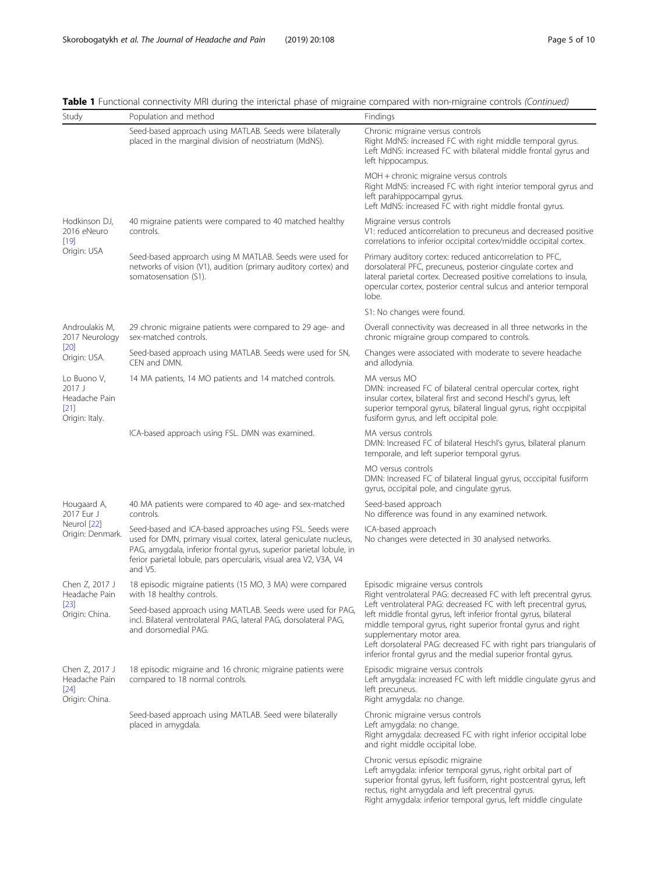| Study                                                                         | Population and method                                                                                                                                                                                                                                                                | Findings                                                                                                                                                                                                                                                                                                                                                                                                                                                                              |
|-------------------------------------------------------------------------------|--------------------------------------------------------------------------------------------------------------------------------------------------------------------------------------------------------------------------------------------------------------------------------------|---------------------------------------------------------------------------------------------------------------------------------------------------------------------------------------------------------------------------------------------------------------------------------------------------------------------------------------------------------------------------------------------------------------------------------------------------------------------------------------|
|                                                                               | Seed-based approach using MATLAB. Seeds were bilaterally<br>placed in the marginal division of neostriatum (MdNS).                                                                                                                                                                   | Chronic migraine versus controls<br>Right MdNS: increased FC with right middle temporal gyrus.<br>Left MdNS: increased FC with bilateral middle frontal gyrus and<br>left hippocampus.                                                                                                                                                                                                                                                                                                |
|                                                                               |                                                                                                                                                                                                                                                                                      | MOH + chronic migraine versus controls<br>Right MdNS: increased FC with right interior temporal gyrus and<br>left parahippocampal gyrus.<br>Left MdNS: increased FC with right middle frontal gyrus.                                                                                                                                                                                                                                                                                  |
| Hodkinson DJ,<br>2016 eNeuro<br>$[19]$                                        | 40 migraine patients were compared to 40 matched healthy<br>controls.                                                                                                                                                                                                                | Migraine versus controls<br>V1: reduced anticorrelation to precuneus and decreased positive<br>correlations to inferior occipital cortex/middle occipital cortex.                                                                                                                                                                                                                                                                                                                     |
| Origin: USA                                                                   | Seed-based approarch using M MATLAB. Seeds were used for<br>networks of vision (V1), audition (primary auditory cortex) and<br>somatosensation (S1).                                                                                                                                 | Primary auditory cortex: reduced anticorrelation to PFC,<br>dorsolateral PFC, precuneus, posterior cingulate cortex and<br>lateral parietal cortex. Decreased positive correlations to insula,<br>opercular cortex, posterior central sulcus and anterior temporal<br>lobe.                                                                                                                                                                                                           |
|                                                                               |                                                                                                                                                                                                                                                                                      | S1: No changes were found.                                                                                                                                                                                                                                                                                                                                                                                                                                                            |
| Androulakis M,<br>2017 Neurology                                              | 29 chronic migraine patients were compared to 29 age- and<br>sex-matched controls.                                                                                                                                                                                                   | Overall connectivity was decreased in all three networks in the<br>chronic migraine group compared to controls.                                                                                                                                                                                                                                                                                                                                                                       |
| $[20]$<br>Origin: USA.                                                        | Seed-based approach using MATLAB. Seeds were used for SN,<br>CEN and DMN.                                                                                                                                                                                                            | Changes were associated with moderate to severe headache<br>and allodynia.                                                                                                                                                                                                                                                                                                                                                                                                            |
| Lo Buono V,<br>2017 <sub>1</sub><br>Headache Pain<br>$[21]$<br>Origin: Italy. | 14 MA patients, 14 MO patients and 14 matched controls.                                                                                                                                                                                                                              | MA versus MO<br>DMN: increased FC of bilateral central opercular cortex, right<br>insular cortex, bilateral first and second Heschl's gyrus, left<br>superior temporal gyrus, bilateral lingual gyrus, right occpipital<br>fusiform gyrus, and left occipital pole.                                                                                                                                                                                                                   |
|                                                                               | ICA-based approach using FSL. DMN was examined.                                                                                                                                                                                                                                      | MA versus controls<br>DMN: Increased FC of bilateral Heschl's gyrus, bilateral planum<br>temporale, and left superior temporal gyrus.                                                                                                                                                                                                                                                                                                                                                 |
|                                                                               |                                                                                                                                                                                                                                                                                      | MO versus controls<br>DMN: Increased FC of bilateral lingual gyrus, occcipital fusiform<br>gyrus, occipital pole, and cingulate gyrus.                                                                                                                                                                                                                                                                                                                                                |
| Hougaard A,<br>2017 Eur J<br>Neurol [22]<br>Origin: Denmark.                  | 40 MA patients were compared to 40 age- and sex-matched<br>controls.                                                                                                                                                                                                                 | Seed-based approach<br>No difference was found in any examined network.                                                                                                                                                                                                                                                                                                                                                                                                               |
|                                                                               | Seed-based and ICA-based approaches using FSL. Seeds were<br>used for DMN, primary visual cortex, lateral geniculate nucleus,<br>PAG, amygdala, inferior frontal gyrus, superior parietal lobule, in<br>ferior parietal lobule, pars opercularis, visual area V2, V3A, V4<br>and V5. | ICA-based approach<br>No changes were detected in 30 analysed networks.                                                                                                                                                                                                                                                                                                                                                                                                               |
| Chen Z, 2017 J<br>Headache Pain                                               | 18 episodic migraine patients (15 MO, 3 MA) were compared<br>with 18 healthy controls.                                                                                                                                                                                               | Episodic migraine versus controls<br>Right ventrolateral PAG: decreased FC with left precentral gyrus.<br>Left ventrolateral PAG: decreased FC with left precentral gyrus,<br>left middle frontal gyrus, left inferior frontal gyrus, bilateral<br>middle temporal gyrus, right superior frontal gyrus and right<br>supplementary motor area.<br>Left dorsolateral PAG: decreased FC with right pars triangularis of<br>inferior frontal gyrus and the medial superior frontal gyrus. |
| $[23]$<br>Origin: China.                                                      | Seed-based approach using MATLAB. Seeds were used for PAG,<br>incl. Bilateral ventrolateral PAG, lateral PAG, dorsolateral PAG,<br>and dorsomedial PAG.                                                                                                                              |                                                                                                                                                                                                                                                                                                                                                                                                                                                                                       |
| Chen Z, 2017 J<br>Headache Pain<br>$[24]$<br>Origin: China.                   | 18 episodic migraine and 16 chronic migraine patients were<br>compared to 18 normal controls.                                                                                                                                                                                        | Episodic migraine versus controls<br>Left amygdala: increased FC with left middle cingulate gyrus and<br>left precuneus.<br>Right amygdala: no change.                                                                                                                                                                                                                                                                                                                                |
|                                                                               | Seed-based approach using MATLAB. Seed were bilaterally<br>placed in amygdala.                                                                                                                                                                                                       | Chronic migraine versus controls<br>Left amygdala: no change.<br>Right amygdala: decreased FC with right inferior occipital lobe<br>and right middle occipital lobe.                                                                                                                                                                                                                                                                                                                  |
|                                                                               |                                                                                                                                                                                                                                                                                      | Chronic versus episodic migraine<br>Left amygdala: inferior temporal gyrus, right orbital part of<br>superior frontal gyrus, left fusiform, right postcentral gyrus, left<br>rectus, right amygdala and left precentral gyrus.<br>Right amygdala: inferior temporal gyrus, left middle cingulate                                                                                                                                                                                      |

Table 1 Functional connectivity MRI during the interictal phase of migraine compared with non-migraine controls (Continued)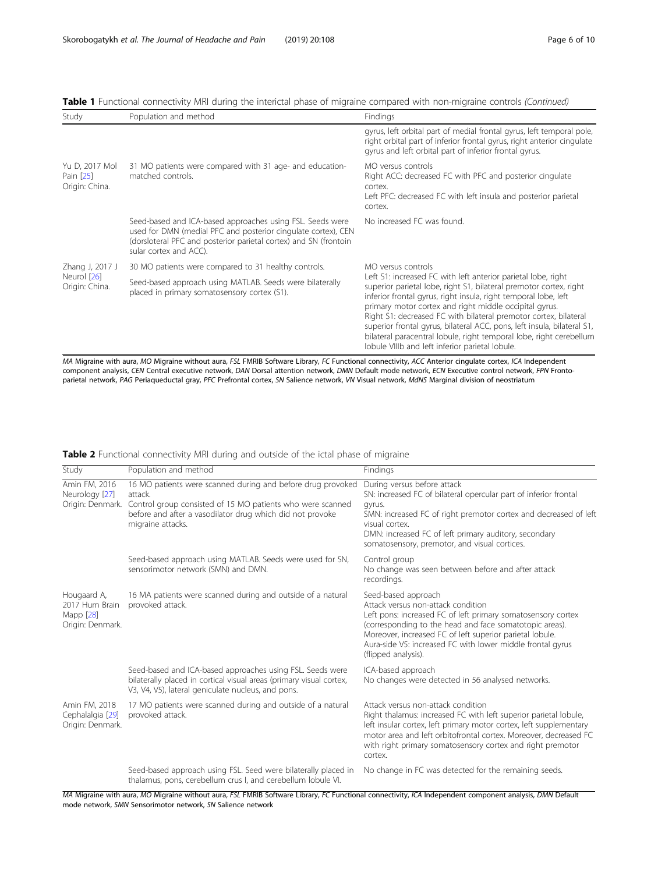| Study                                            | Population and method                                                                                                                                                                                                    | Findings                                                                                                                                                                                                                                                                                                                                                                                                                                                                                                                                                        |
|--------------------------------------------------|--------------------------------------------------------------------------------------------------------------------------------------------------------------------------------------------------------------------------|-----------------------------------------------------------------------------------------------------------------------------------------------------------------------------------------------------------------------------------------------------------------------------------------------------------------------------------------------------------------------------------------------------------------------------------------------------------------------------------------------------------------------------------------------------------------|
|                                                  |                                                                                                                                                                                                                          | gyrus, left orbital part of medial frontal gyrus, left temporal pole,<br>right orbital part of inferior frontal gyrus, right anterior cingulate<br>gyrus and left orbital part of inferior frontal gyrus.                                                                                                                                                                                                                                                                                                                                                       |
| Yu D, 2017 Mol<br>Pain [25]<br>Origin: China.    | 31 MO patients were compared with 31 age- and education-<br>matched controls.                                                                                                                                            | MO versus controls<br>Right ACC: decreased FC with PFC and posterior cingulate<br>cortex.<br>Left PFC: decreased FC with left insula and posterior parietal<br>cortex.                                                                                                                                                                                                                                                                                                                                                                                          |
|                                                  | Seed-based and ICA-based approaches using FSL. Seeds were<br>used for DMN (medial PFC and posterior cingulate cortex), CEN<br>(dorsloteral PFC and posterior parietal cortex) and SN (frontoin<br>sular cortex and ACC). | No increased FC was found.                                                                                                                                                                                                                                                                                                                                                                                                                                                                                                                                      |
| Zhang J, 2017 J<br>Neurol [26]<br>Origin: China. | 30 MO patients were compared to 31 healthy controls.                                                                                                                                                                     | MO versus controls<br>Left S1: increased FC with left anterior parietal lobe, right<br>superior parietal lobe, right S1, bilateral premotor cortex, right<br>inferior frontal gyrus, right insula, right temporal lobe, left<br>primary motor cortex and right middle occipital gyrus.<br>Right S1: decreased FC with bilateral premotor cortex, bilateral<br>superior frontal gyrus, bilateral ACC, pons, left insula, bilateral S1,<br>bilateral paracentral lobule, right temporal lobe, right cerebellum<br>lobule VIIIb and left inferior parietal lobule. |
|                                                  | Seed-based approach using MATLAB. Seeds were bilaterally<br>placed in primary somatosensory cortex (S1).                                                                                                                 |                                                                                                                                                                                                                                                                                                                                                                                                                                                                                                                                                                 |

<span id="page-5-0"></span>Table 1 Functional connectivity MRI during the interictal phase of migraine compared with non-migraine controls (Continued)

MA Migraine with aura, MO Migraine without aura, FSL FMRIB Software Library, FC Functional connectivity, ACC Anterior cingulate cortex, ICA Independent component analysis, CEN Central executive network, DAN Dorsal attention network, DMN Default mode network, ECN Executive control network, FPN Frontoparietal network, PAG Periaqueductal gray, PFC Prefrontal cortex, SN Salience network, VN Visual network, MdNS Marginal division of neostriatum

| Study                                                          | Population and method                                                                                                                                                                                                                   | Findings                                                                                                                                                                                                                                                                                                                              |
|----------------------------------------------------------------|-----------------------------------------------------------------------------------------------------------------------------------------------------------------------------------------------------------------------------------------|---------------------------------------------------------------------------------------------------------------------------------------------------------------------------------------------------------------------------------------------------------------------------------------------------------------------------------------|
| Amin FM, 2016<br>Neurology [27]                                | 16 MO patients were scanned during and before drug provoked<br>attack.<br>Origin: Denmark. Control group consisted of 15 MO patients who were scanned<br>before and after a vasodilator drug which did not provoke<br>migraine attacks. | During versus before attack<br>SN: increased FC of bilateral opercular part of inferior frontal<br>gyrus.<br>SMN: increased FC of right premotor cortex and decreased of left<br>visual cortex.<br>DMN: increased FC of left primary auditory, secondary<br>somatosensory, premotor, and visual cortices.                             |
|                                                                | Seed-based approach using MATLAB. Seeds were used for SN,<br>sensorimotor network (SMN) and DMN.                                                                                                                                        | Control group<br>No change was seen between before and after attack<br>recordings.                                                                                                                                                                                                                                                    |
| Hougaard A,<br>2017 Hum Brain<br>Mapp [28]<br>Origin: Denmark. | 16 MA patients were scanned during and outside of a natural<br>provoked attack.                                                                                                                                                         | Seed-based approach<br>Attack versus non-attack condition<br>Left pons: increased FC of left primary somatosensory cortex<br>(corresponding to the head and face somatotopic areas).<br>Moreover, increased FC of left superior parietal lobule.<br>Aura-side V5: increased FC with lower middle frontal gyrus<br>(flipped analysis). |
|                                                                | Seed-based and ICA-based approaches using FSL. Seeds were<br>bilaterally placed in cortical visual areas (primary visual cortex,<br>V3, V4, V5), lateral geniculate nucleus, and pons.                                                  | ICA-based approach<br>No changes were detected in 56 analysed networks.                                                                                                                                                                                                                                                               |
| Amin FM, 2018<br>Cephalalgia [29]<br>Origin: Denmark.          | 17 MO patients were scanned during and outside of a natural<br>provoked attack.                                                                                                                                                         | Attack versus non-attack condition<br>Right thalamus: increased FC with left superior parietal lobule,<br>left insular cortex, left primary motor cortex, left supplementary<br>motor area and left orbitofrontal cortex. Moreover, decreased FC<br>with right primary somatosensory cortex and right premotor<br>cortex.             |
|                                                                | Seed-based approach using FSL. Seed were bilaterally placed in<br>thalamus, pons, cerebellum crus I, and cerebellum lobule VI.                                                                                                          | No change in FC was detected for the remaining seeds.                                                                                                                                                                                                                                                                                 |

#### Table 2 Functional connectivity MRI during and outside of the ictal phase of migraine

MA Migraine with aura, MO Migraine without aura, FSL FMRIB Software Library, FC Functional connectivity, ICA Independent component analysis, DMN Default mode network, SMN Sensorimotor network, SN Salience network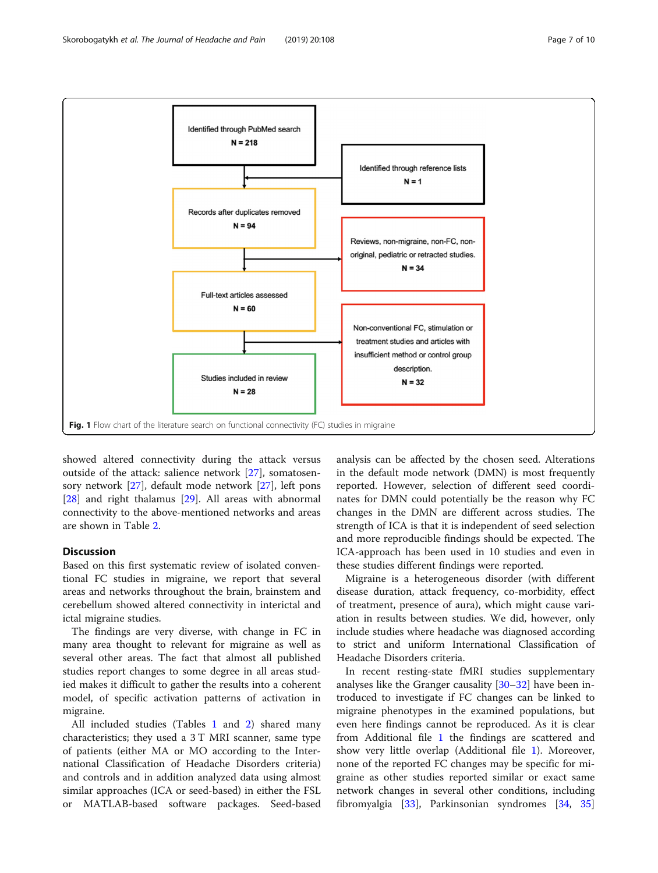<span id="page-6-0"></span>

showed altered connectivity during the attack versus outside of the attack: salience network [[27\]](#page-9-0), somatosensory network [[27\]](#page-9-0), default mode network [\[27](#page-9-0)], left pons [[28\]](#page-9-0) and right thalamus [[29\]](#page-9-0). All areas with abnormal connectivity to the above-mentioned networks and areas are shown in Table [2](#page-5-0).

### Discussion

Based on this first systematic review of isolated conventional FC studies in migraine, we report that several areas and networks throughout the brain, brainstem and cerebellum showed altered connectivity in interictal and ictal migraine studies.

The findings are very diverse, with change in FC in many area thought to relevant for migraine as well as several other areas. The fact that almost all published studies report changes to some degree in all areas studied makes it difficult to gather the results into a coherent model, of specific activation patterns of activation in migraine.

All included studies (Tables [1](#page-2-0) and [2](#page-5-0)) shared many characteristics; they used a 3 T MRI scanner, same type of patients (either MA or MO according to the International Classification of Headache Disorders criteria) and controls and in addition analyzed data using almost similar approaches (ICA or seed-based) in either the FSL or MATLAB-based software packages. Seed-based

analysis can be affected by the chosen seed. Alterations in the default mode network (DMN) is most frequently reported. However, selection of different seed coordinates for DMN could potentially be the reason why FC changes in the DMN are different across studies. The strength of ICA is that it is independent of seed selection and more reproducible findings should be expected. The ICA-approach has been used in 10 studies and even in these studies different findings were reported.

Migraine is a heterogeneous disorder (with different disease duration, attack frequency, co-morbidity, effect of treatment, presence of aura), which might cause variation in results between studies. We did, however, only include studies where headache was diagnosed according to strict and uniform International Classification of Headache Disorders criteria.

In recent resting-state fMRI studies supplementary analyses like the Granger causality  $[30-32]$  $[30-32]$  $[30-32]$  $[30-32]$  $[30-32]$  have been introduced to investigate if FC changes can be linked to migraine phenotypes in the examined populations, but even here findings cannot be reproduced. As it is clear from Additional file [1](#page-7-0) the findings are scattered and show very little overlap (Additional file [1\)](#page-7-0). Moreover, none of the reported FC changes may be specific for migraine as other studies reported similar or exact same network changes in several other conditions, including fibromyalgia [\[33](#page-9-0)], Parkinsonian syndromes [[34,](#page-9-0) [35](#page-9-0)]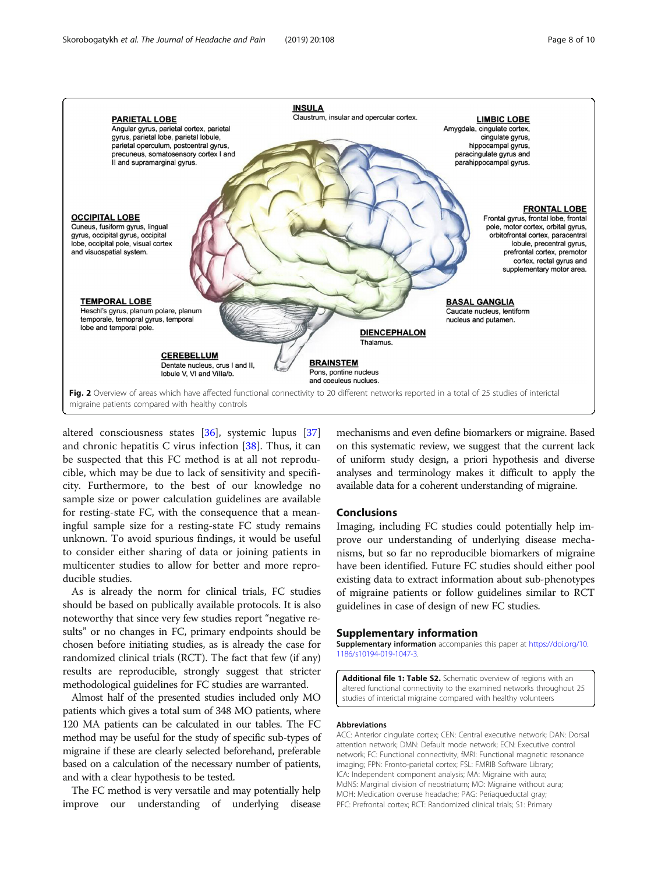<span id="page-7-0"></span>

altered consciousness states [\[36\]](#page-9-0), systemic lupus [[37](#page-9-0)] and chronic hepatitis C virus infection [\[38](#page-9-0)]. Thus, it can be suspected that this FC method is at all not reproducible, which may be due to lack of sensitivity and specificity. Furthermore, to the best of our knowledge no sample size or power calculation guidelines are available for resting-state FC, with the consequence that a meaningful sample size for a resting-state FC study remains unknown. To avoid spurious findings, it would be useful to consider either sharing of data or joining patients in multicenter studies to allow for better and more reproducible studies.

As is already the norm for clinical trials, FC studies should be based on publically available protocols. It is also noteworthy that since very few studies report "negative results" or no changes in FC, primary endpoints should be chosen before initiating studies, as is already the case for randomized clinical trials (RCT). The fact that few (if any) results are reproducible, strongly suggest that stricter methodological guidelines for FC studies are warranted.

Almost half of the presented studies included only MO patients which gives a total sum of 348 MO patients, where 120 MA patients can be calculated in our tables. The FC method may be useful for the study of specific sub-types of migraine if these are clearly selected beforehand, preferable based on a calculation of the necessary number of patients, and with a clear hypothesis to be tested.

The FC method is very versatile and may potentially help improve our understanding of underlying disease mechanisms and even define biomarkers or migraine. Based on this systematic review, we suggest that the current lack of uniform study design, a priori hypothesis and diverse analyses and terminology makes it difficult to apply the available data for a coherent understanding of migraine.

#### Conclusions

Imaging, including FC studies could potentially help improve our understanding of underlying disease mechanisms, but so far no reproducible biomarkers of migraine have been identified. Future FC studies should either pool existing data to extract information about sub-phenotypes of migraine patients or follow guidelines similar to RCT guidelines in case of design of new FC studies.

#### Supplementary information

Supplementary information accompanies this paper at [https://doi.org/10.](https://doi.org/10.1186/s10194-019-1047-3) [1186/s10194-019-1047-3.](https://doi.org/10.1186/s10194-019-1047-3)

Additional file 1: Table S2. Schematic overview of regions with an altered functional connectivity to the examined networks throughout 25 studies of interictal migraine compared with healthy volunteers

#### Abbreviations

ACC: Anterior cingulate cortex; CEN: Central executive network; DAN: Dorsal attention network; DMN: Default mode network; ECN: Executive control network; FC: Functional connectivity; fMRI: Functional magnetic resonance imaging; FPN: Fronto-parietal cortex; FSL: FMRIB Software Library; ICA: Independent component analysis; MA: Migraine with aura; MdNS: Marginal division of neostriatum; MO: Migraine without aura; MOH: Medication overuse headache; PAG: Periaqueductal gray; PFC: Prefrontal cortex; RCT: Randomized clinical trials; S1: Primary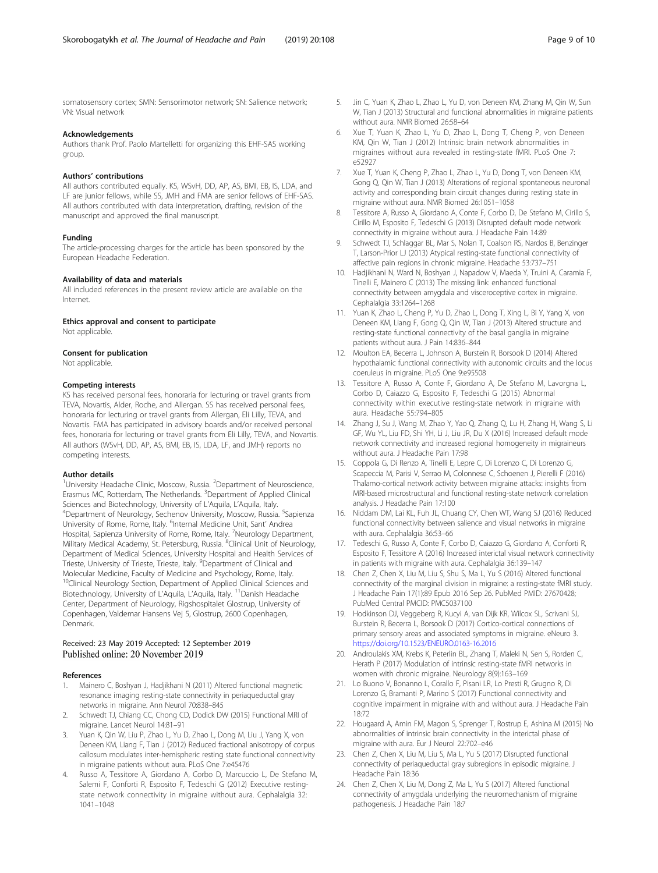<span id="page-8-0"></span>somatosensory cortex; SMN: Sensorimotor network; SN: Salience network; VN: Visual network

#### Acknowledgements

Authors thank Prof. Paolo Martelletti for organizing this EHF-SAS working group.

#### Authors' contributions

All authors contributed equally. KS, WSvH, DD, AP, AS, BMI, EB, IS, LDA, and LF are junior fellows, while SS, JMH and FMA are senior fellows of EHF-SAS. All authors contributed with data interpretation, drafting, revision of the manuscript and approved the final manuscript.

#### Funding

The article-processing charges for the article has been sponsored by the European Headache Federation.

#### Availability of data and materials

All included references in the present review article are available on the Internet.

#### Ethics approval and consent to participate

Not applicable.

#### Consent for publication

Not applicable.

#### Competing interests

KS has received personal fees, honoraria for lecturing or travel grants from TEVA, Novartis, Alder, Roche, and Allergan. SS has received personal fees, honoraria for lecturing or travel grants from Allergan, Eli Lilly, TEVA, and Novartis. FMA has participated in advisory boards and/or received personal fees, honoraria for lecturing or travel grants from Eli Lilly, TEVA, and Novartis. All authors (WSvH, DD, AP, AS, BMI, EB, IS, LDA, LF, and JMH) reports no competing interests.

#### Author details

<sup>1</sup>University Headache Clinic, Moscow, Russia. <sup>2</sup>Department of Neuroscience, Erasmus MC, Rotterdam, The Netherlands. <sup>3</sup>Department of Applied Clinical Sciences and Biotechnology, University of L'Aquila, L'Aquila, Italy. Department of Neurology, Sechenov University, Moscow, Russia. <sup>5</sup>Sapienza University of Rome, Rome, Italy. <sup>6</sup>Internal Medicine Unit, Sant' Andrea Hospital, Sapienza University of Rome, Rome, Italy. <sup>7</sup>Neurology Department, Military Medical Academy, St. Petersburg, Russia. <sup>8</sup>Clinical Unit of Neurology, Department of Medical Sciences, University Hospital and Health Services of Trieste, University of Trieste, Trieste, Italy. <sup>9</sup>Department of Clinical and Molecular Medicine, Faculty of Medicine and Psychology, Rome, Italy. <sup>10</sup>Clinical Neurology Section, Department of Applied Clinical Sciences and Biotechnology, University of L'Aquila, L'Aquila, Italy. 11Danish Headache Center, Department of Neurology, Rigshospitalet Glostrup, University of Copenhagen, Valdemar Hansens Vej 5, Glostrup, 2600 Copenhagen, Denmark.

#### Received: 23 May 2019 Accepted: 12 September 2019 Published online: 20 November 2019

#### References

- 1. Mainero C, Boshyan J, Hadjikhani N (2011) Altered functional magnetic resonance imaging resting-state connectivity in periaqueductal gray networks in migraine. Ann Neurol 70:838–845
- Schwedt TJ, Chiang CC, Chong CD, Dodick DW (2015) Functional MRI of migraine. Lancet Neurol 14:81–91
- 3. Yuan K, Qin W, Liu P, Zhao L, Yu D, Zhao L, Dong M, Liu J, Yang X, von Deneen KM, Liang F, Tian J (2012) Reduced fractional anisotropy of corpus callosum modulates inter-hemispheric resting state functional connectivity in migraine patients without aura. PLoS One 7:e45476
- Russo A, Tessitore A, Giordano A, Corbo D, Marcuccio L, De Stefano M, Salemi F, Conforti R, Esposito F, Tedeschi G (2012) Executive restingstate network connectivity in migraine without aura. Cephalalgia 32: 1041–1048
- Jin C, Yuan K, Zhao L, Zhao L, Yu D, von Deneen KM, Zhang M, Qin W, Sun W, Tian J (2013) Structural and functional abnormalities in migraine patients without aura. NMR Biomed 26:58–64
- Kue T, Yuan K, Zhao L, Yu D, Zhao L, Dong T, Cheng P, von Deneen KM, Qin W, Tian J (2012) Intrinsic brain network abnormalities in migraines without aura revealed in resting-state fMRI. PLoS One 7: e52927
- 7. Xue T, Yuan K, Cheng P, Zhao L, Zhao L, Yu D, Dong T, von Deneen KM, Gong Q, Qin W, Tian J (2013) Alterations of regional spontaneous neuronal activity and corresponding brain circuit changes during resting state in migraine without aura. NMR Biomed 26:1051–1058
- 8. Tessitore A, Russo A, Giordano A, Conte F, Corbo D, De Stefano M, Cirillo S, Cirillo M, Esposito F, Tedeschi G (2013) Disrupted default mode network connectivity in migraine without aura. J Headache Pain 14:89
- 9. Schwedt TJ, Schlaggar BL, Mar S, Nolan T, Coalson RS, Nardos B, Benzinger T, Larson-Prior LJ (2013) Atypical resting-state functional connectivity of affective pain regions in chronic migraine. Headache 53:737–751
- 10. Hadjikhani N, Ward N, Boshyan J, Napadow V, Maeda Y, Truini A, Caramia F, Tinelli E, Mainero C (2013) The missing link: enhanced functional connectivity between amygdala and visceroceptive cortex in migraine. Cephalalgia 33:1264–1268
- 11. Yuan K, Zhao L, Cheng P, Yu D, Zhao L, Dong T, Xing L, Bi Y, Yang X, von Deneen KM, Liang F, Gong Q, Qin W, Tian J (2013) Altered structure and resting-state functional connectivity of the basal ganglia in migraine patients without aura. J Pain 14:836–844
- 12. Moulton EA, Becerra L, Johnson A, Burstein R, Borsook D (2014) Altered hypothalamic functional connectivity with autonomic circuits and the locus coeruleus in migraine. PLoS One 9:e95508
- 13. Tessitore A, Russo A, Conte F, Giordano A, De Stefano M, Lavorgna L, Corbo D, Caiazzo G, Esposito F, Tedeschi G (2015) Abnormal connectivity within executive resting-state network in migraine with aura. Headache 55:794–805
- 14. Zhang J, Su J, Wang M, Zhao Y, Yao Q, Zhang Q, Lu H, Zhang H, Wang S, Li GF, Wu YL, Liu FD, Shi YH, Li J, Liu JR, Du X (2016) Increased default mode network connectivity and increased regional homogeneity in migraineurs without aura. J Headache Pain 17:98
- 15. Coppola G, Di Renzo A, Tinelli E, Lepre C, Di Lorenzo C, Di Lorenzo G, Scapeccia M, Parisi V, Serrao M, Colonnese C, Schoenen J, Pierelli F (2016) Thalamo-cortical network activity between migraine attacks: insights from MRI-based microstructural and functional resting-state network correlation analysis. J Headache Pain 17:100
- 16. Niddam DM, Lai KL, Fuh JL, Chuang CY, Chen WT, Wang SJ (2016) Reduced functional connectivity between salience and visual networks in migraine with aura. Cephalalgia 36:53-66
- 17. Tedeschi G, Russo A, Conte F, Corbo D, Caiazzo G, Giordano A, Conforti R, Esposito F, Tessitore A (2016) Increased interictal visual network connectivity in patients with migraine with aura. Cephalalgia 36:139–147
- 18. Chen Z, Chen X, Liu M, Liu S, Shu S, Ma L, Yu S (2016) Altered functional connectivity of the marginal division in migraine: a resting-state fMRI study. J Headache Pain 17(1):89 Epub 2016 Sep 26. PubMed PMID: 27670428; PubMed Central PMCID: PMC5037100
- 19. Hodkinson DJ, Veggeberg R, Kucyi A, van Dijk KR, Wilcox SL, Scrivani SJ, Burstein R, Becerra L, Borsook D (2017) Cortico-cortical connections of primary sensory areas and associated symptoms in migraine. eNeuro 3. <https://doi.org/10.1523/ENEURO.0163-16.2016>
- 20. Androulakis XM, Krebs K, Peterlin BL, Zhang T, Maleki N, Sen S, Rorden C, Herath P (2017) Modulation of intrinsic resting-state fMRI networks in women with chronic migraine. Neurology 8(9):163–169
- 21. Lo Buono V, Bonanno L, Corallo F, Pisani LR, Lo Presti R, Grugno R, Di Lorenzo G, Bramanti P, Marino S (2017) Functional connectivity and cognitive impairment in migraine with and without aura. J Headache Pain 18:72
- 22. Hougaard A, Amin FM, Magon S, Sprenger T, Rostrup E, Ashina M (2015) No abnormalities of intrinsic brain connectivity in the interictal phase of migraine with aura. Eur J Neurol 22:702–e46
- 23. Chen Z, Chen X, Liu M, Liu S, Ma L, Yu S (2017) Disrupted functional connectivity of periaqueductal gray subregions in episodic migraine. J Headache Pain 18:36
- 24. Chen Z, Chen X, Liu M, Dong Z, Ma L, Yu S (2017) Altered functional connectivity of amygdala underlying the neuromechanism of migraine pathogenesis. J Headache Pain 18:7